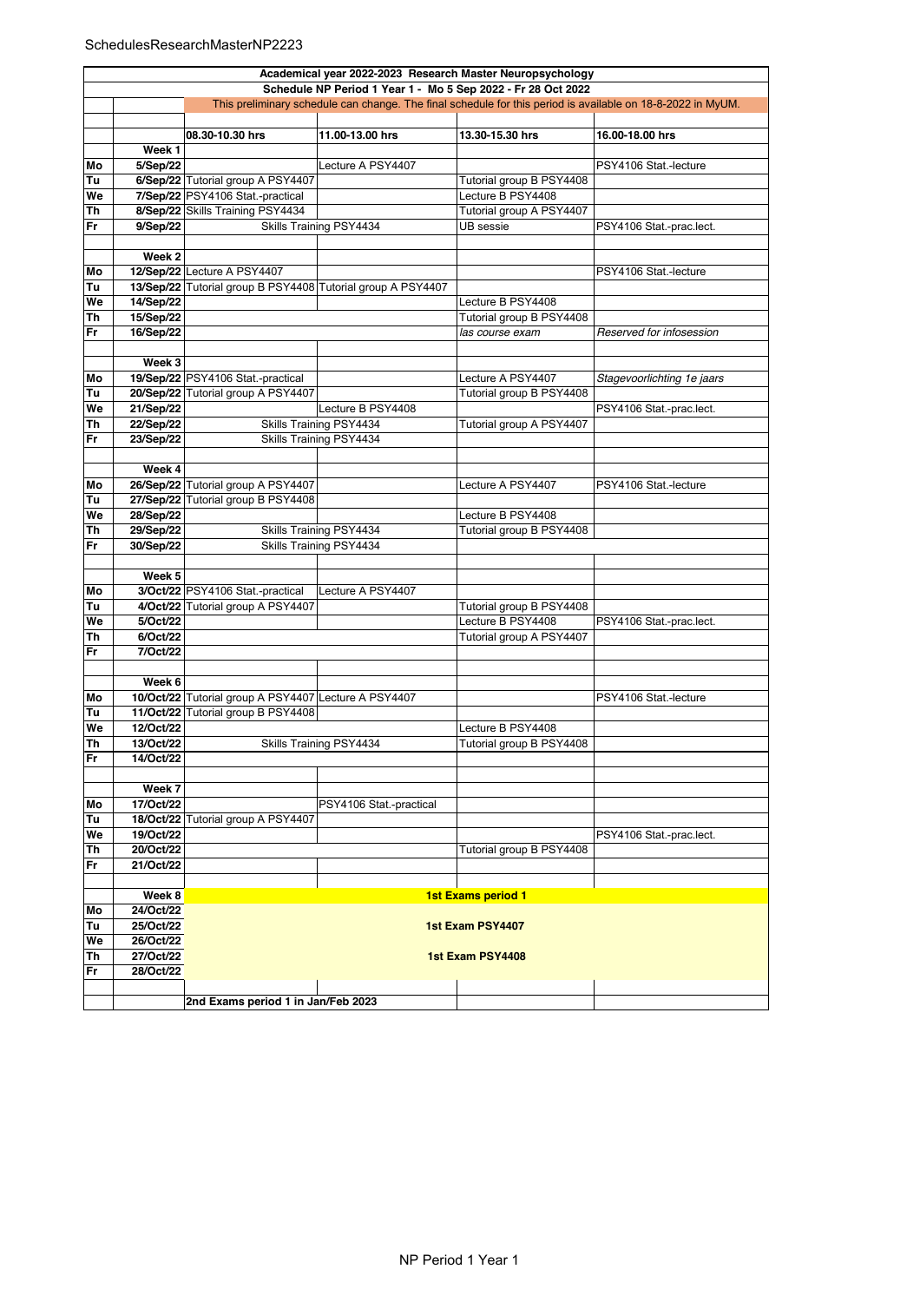## SchedulesResearchMasterNP2223

|    | Academical year 2022-2023 Research Master Neuropsychology    |                                                             |                         |                           |                                                                                                             |  |  |  |
|----|--------------------------------------------------------------|-------------------------------------------------------------|-------------------------|---------------------------|-------------------------------------------------------------------------------------------------------------|--|--|--|
|    | Schedule NP Period 1 Year 1 - Mo 5 Sep 2022 - Fr 28 Oct 2022 |                                                             |                         |                           |                                                                                                             |  |  |  |
|    |                                                              |                                                             |                         |                           | This preliminary schedule can change. The final schedule for this period is available on 18-8-2022 in MyUM. |  |  |  |
|    |                                                              |                                                             |                         |                           |                                                                                                             |  |  |  |
|    |                                                              |                                                             |                         |                           |                                                                                                             |  |  |  |
|    |                                                              | 08.30-10.30 hrs                                             | 11.00-13.00 hrs         | 13.30-15.30 hrs           | 16.00-18.00 hrs                                                                                             |  |  |  |
|    | Week 1                                                       |                                                             |                         |                           |                                                                                                             |  |  |  |
| Mo | 5/Sep/22                                                     |                                                             | Lecture A PSY4407       |                           | PSY4106 Stat.-lecture                                                                                       |  |  |  |
| Tu |                                                              | 6/Sep/22 Tutorial group A PSY4407                           |                         | Tutorial group B PSY4408  |                                                                                                             |  |  |  |
| We |                                                              | 7/Sep/22 PSY4106 Stat.-practical                            |                         | Lecture B PSY4408         |                                                                                                             |  |  |  |
|    |                                                              | 8/Sep/22 Skills Training PSY4434                            |                         | Tutorial group A PSY4407  |                                                                                                             |  |  |  |
| Th |                                                              |                                                             |                         |                           |                                                                                                             |  |  |  |
| Fr | 9/Sep/22                                                     |                                                             | Skills Training PSY4434 | UB sessie                 | PSY4106 Stat.-prac.lect.                                                                                    |  |  |  |
|    |                                                              |                                                             |                         |                           |                                                                                                             |  |  |  |
|    | Week 2                                                       |                                                             |                         |                           |                                                                                                             |  |  |  |
| Mo |                                                              | 12/Sep/22 Lecture A PSY4407                                 |                         |                           | PSY4106 Stat.-lecture                                                                                       |  |  |  |
| Tu |                                                              | 13/Sep/22 Tutorial group B PSY4408 Tutorial group A PSY4407 |                         |                           |                                                                                                             |  |  |  |
|    |                                                              |                                                             |                         | Lecture B PSY4408         |                                                                                                             |  |  |  |
| We | 14/Sep/22                                                    |                                                             |                         |                           |                                                                                                             |  |  |  |
| Th | 15/Sep/22                                                    |                                                             |                         | Tutorial group B PSY4408  |                                                                                                             |  |  |  |
| Fr | 16/Sep/22                                                    |                                                             |                         | las course exam           | Reserved for infosession                                                                                    |  |  |  |
|    |                                                              |                                                             |                         |                           |                                                                                                             |  |  |  |
|    | Week 3                                                       |                                                             |                         |                           |                                                                                                             |  |  |  |
| Mo |                                                              | 19/Sep/22 PSY4106 Stat.-practical                           |                         | Lecture A PSY4407         | Stagevoorlichting 1e jaars                                                                                  |  |  |  |
|    |                                                              |                                                             |                         |                           |                                                                                                             |  |  |  |
| Tu |                                                              | 20/Sep/22 Tutorial group A PSY4407                          |                         | Tutorial group B PSY4408  |                                                                                                             |  |  |  |
| We | 21/Sep/22                                                    |                                                             | Lecture B PSY4408       |                           | PSY4106 Stat.-prac.lect.                                                                                    |  |  |  |
| Th | 22/Sep/22                                                    |                                                             | Skills Training PSY4434 | Tutorial group A PSY4407  |                                                                                                             |  |  |  |
| Fr | 23/Sep/22                                                    |                                                             | Skills Training PSY4434 |                           |                                                                                                             |  |  |  |
|    |                                                              |                                                             |                         |                           |                                                                                                             |  |  |  |
|    | Week 4                                                       |                                                             |                         |                           |                                                                                                             |  |  |  |
|    |                                                              |                                                             |                         |                           |                                                                                                             |  |  |  |
| Mo |                                                              | 26/Sep/22 Tutorial group A PSY4407                          |                         | Lecture A PSY4407         | PSY4106 Stat.-lecture                                                                                       |  |  |  |
| Tu |                                                              | 27/Sep/22 Tutorial group B PSY4408                          |                         |                           |                                                                                                             |  |  |  |
| We | 28/Sep/22                                                    |                                                             |                         | Lecture B PSY4408         |                                                                                                             |  |  |  |
| Th | 29/Sep/22                                                    |                                                             | Skills Training PSY4434 | Tutorial group B PSY4408  |                                                                                                             |  |  |  |
| Fr | 30/Sep/22                                                    |                                                             | Skills Training PSY4434 |                           |                                                                                                             |  |  |  |
|    |                                                              |                                                             |                         |                           |                                                                                                             |  |  |  |
|    |                                                              |                                                             |                         |                           |                                                                                                             |  |  |  |
|    | Week 5                                                       |                                                             |                         |                           |                                                                                                             |  |  |  |
| Mo |                                                              | 3/Oct/22 PSY4106 Stat.-practical                            | Lecture A PSY4407       |                           |                                                                                                             |  |  |  |
| Tu |                                                              | 4/Oct/22 Tutorial group A PSY4407                           |                         | Tutorial group B PSY4408  |                                                                                                             |  |  |  |
| We | 5/Oct/22                                                     |                                                             |                         | Lecture B PSY4408         | PSY4106 Stat.-prac.lect.                                                                                    |  |  |  |
| Th | 6/Oct/22                                                     |                                                             |                         | Tutorial group A PSY4407  |                                                                                                             |  |  |  |
| Fr | 7/Oct/22                                                     |                                                             |                         |                           |                                                                                                             |  |  |  |
|    |                                                              |                                                             |                         |                           |                                                                                                             |  |  |  |
|    |                                                              |                                                             |                         |                           |                                                                                                             |  |  |  |
|    | Week 6                                                       |                                                             |                         |                           |                                                                                                             |  |  |  |
| Mo |                                                              | 10/Oct/22 Tutorial group A PSY4407 Lecture A PSY4407        |                         |                           | PSY4106 Stat.-lecture                                                                                       |  |  |  |
| Tu |                                                              | 11/Oct/22 Tutorial group B PSY4408                          |                         |                           |                                                                                                             |  |  |  |
| We | 12/Oct/22                                                    |                                                             |                         | Lecture B PSY4408         |                                                                                                             |  |  |  |
| Th | 13/Oct/22                                                    |                                                             | Skills Training PSY4434 | Tutorial group B PSY4408  |                                                                                                             |  |  |  |
|    |                                                              |                                                             |                         |                           |                                                                                                             |  |  |  |
| Fr | 14/Oct/22                                                    |                                                             |                         |                           |                                                                                                             |  |  |  |
|    |                                                              |                                                             |                         |                           |                                                                                                             |  |  |  |
|    | Week 7                                                       |                                                             |                         |                           |                                                                                                             |  |  |  |
| Mo | 17/Oct/22                                                    |                                                             | PSY4106 Stat.-practical |                           |                                                                                                             |  |  |  |
| Tu |                                                              | 18/Oct/22 Tutorial group A PSY4407                          |                         |                           |                                                                                                             |  |  |  |
|    |                                                              |                                                             |                         |                           |                                                                                                             |  |  |  |
| We | 19/Oct/22                                                    |                                                             |                         |                           | PSY4106 Stat.-prac.lect.                                                                                    |  |  |  |
| Th | 20/Oct/22                                                    |                                                             |                         | Tutorial group B PSY4408  |                                                                                                             |  |  |  |
| Fr | 21/Oct/22                                                    |                                                             |                         |                           |                                                                                                             |  |  |  |
|    |                                                              |                                                             |                         |                           |                                                                                                             |  |  |  |
|    | Week 8                                                       |                                                             |                         | <b>1st Exams period 1</b> |                                                                                                             |  |  |  |
| Mo | 24/Oct/22                                                    |                                                             |                         |                           |                                                                                                             |  |  |  |
|    |                                                              |                                                             |                         |                           |                                                                                                             |  |  |  |
| Tu | 25/Oct/22                                                    | 1st Exam PSY4407                                            |                         |                           |                                                                                                             |  |  |  |
| We | 26/Oct/22                                                    |                                                             |                         |                           |                                                                                                             |  |  |  |
| Th | 27/Oct/22                                                    | 1st Exam PSY4408                                            |                         |                           |                                                                                                             |  |  |  |
| Fr | 28/Oct/22                                                    |                                                             |                         |                           |                                                                                                             |  |  |  |
|    |                                                              |                                                             |                         |                           |                                                                                                             |  |  |  |
|    |                                                              | 2nd Exams period 1 in Jan/Feb 2023                          |                         |                           |                                                                                                             |  |  |  |
|    |                                                              |                                                             |                         |                           |                                                                                                             |  |  |  |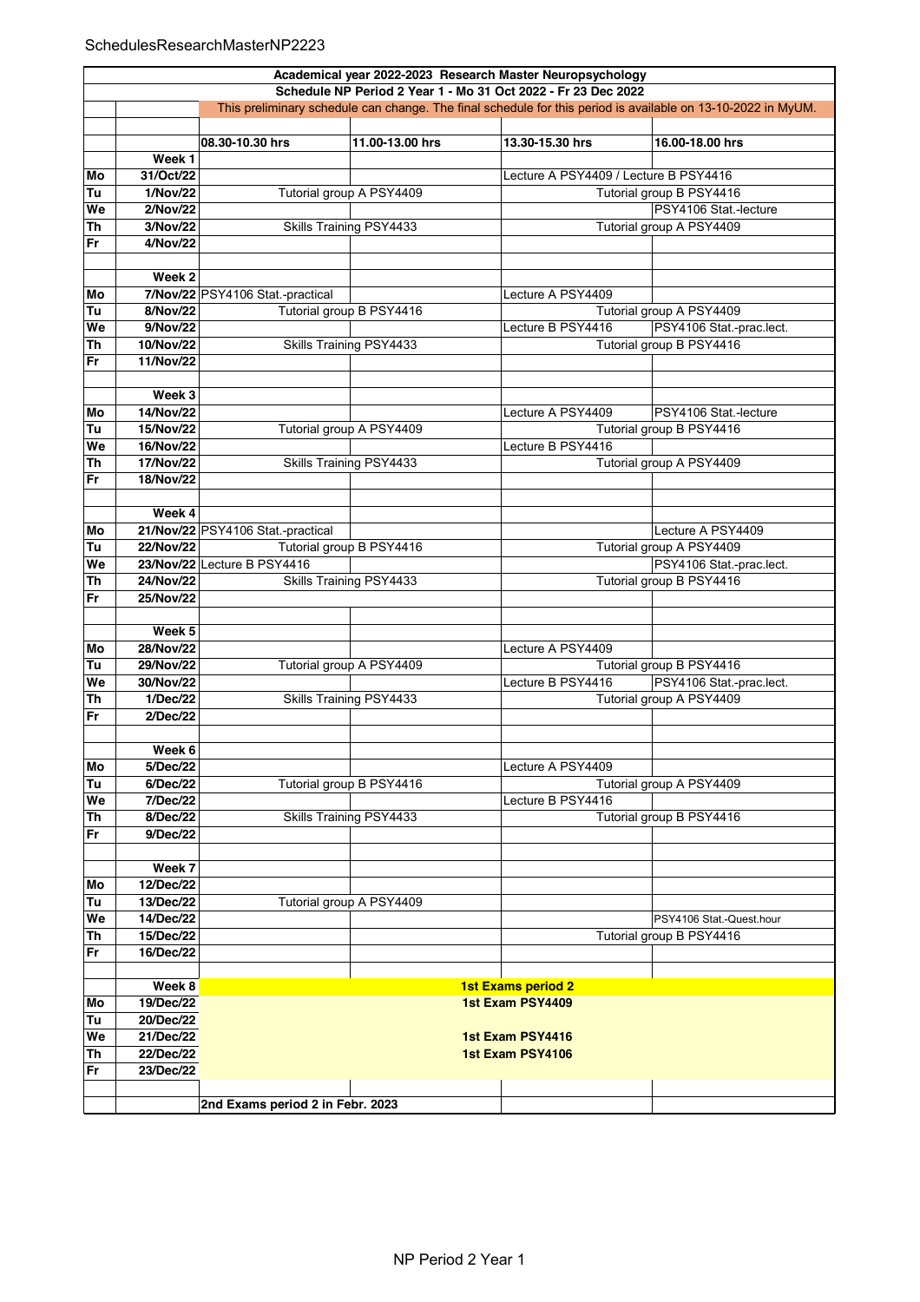|           | Academical year 2022-2023 Research Master Neuropsychology                                                                                                                     |                                   |                          |                                       |                          |  |  |
|-----------|-------------------------------------------------------------------------------------------------------------------------------------------------------------------------------|-----------------------------------|--------------------------|---------------------------------------|--------------------------|--|--|
|           | Schedule NP Period 2 Year 1 - Mo 31 Oct 2022 - Fr 23 Dec 2022<br>This preliminary schedule can change. The final schedule for this period is available on 13-10-2022 in MyUM. |                                   |                          |                                       |                          |  |  |
|           |                                                                                                                                                                               |                                   |                          |                                       |                          |  |  |
|           |                                                                                                                                                                               | 08.30-10.30 hrs                   | 11.00-13.00 hrs          | 13.30-15.30 hrs                       | 16.00-18.00 hrs          |  |  |
|           | Week <sub>1</sub>                                                                                                                                                             |                                   |                          |                                       |                          |  |  |
| Mo        | 31/Oct/22                                                                                                                                                                     |                                   |                          | Lecture A PSY4409 / Lecture B PSY4416 |                          |  |  |
|           |                                                                                                                                                                               |                                   |                          |                                       |                          |  |  |
| Tu        | 1/Nov/22                                                                                                                                                                      |                                   | Tutorial group A PSY4409 |                                       | Tutorial group B PSY4416 |  |  |
| We        | 2/Nov/22                                                                                                                                                                      |                                   |                          |                                       | PSY4106 Stat.-lecture    |  |  |
| <b>Th</b> | 3/Nov/22                                                                                                                                                                      |                                   | Skills Training PSY4433  |                                       | Tutorial group A PSY4409 |  |  |
| <b>Fr</b> | 4/Nov/22                                                                                                                                                                      |                                   |                          |                                       |                          |  |  |
|           |                                                                                                                                                                               |                                   |                          |                                       |                          |  |  |
|           | Week 2                                                                                                                                                                        |                                   |                          |                                       |                          |  |  |
| Mo        |                                                                                                                                                                               | 7/Nov/22 PSY4106 Stat.-practical  |                          | Lecture A PSY4409                     |                          |  |  |
| Tu        | 8/Nov/22                                                                                                                                                                      |                                   | Tutorial group B PSY4416 |                                       | Tutorial group A PSY4409 |  |  |
| We        | 9/Nov/22                                                                                                                                                                      |                                   |                          | Lecture B PSY4416                     | PSY4106 Stat -prac.lect. |  |  |
| Th        | 10/Nov/22                                                                                                                                                                     |                                   | Skills Training PSY4433  |                                       | Tutorial group B PSY4416 |  |  |
| <b>Fr</b> | 11/Nov/22                                                                                                                                                                     |                                   |                          |                                       |                          |  |  |
|           |                                                                                                                                                                               |                                   |                          |                                       |                          |  |  |
|           | Week 3                                                                                                                                                                        |                                   |                          |                                       |                          |  |  |
| Mo        | 14/Nov/22                                                                                                                                                                     |                                   |                          | Lecture A PSY4409                     | PSY4106 Stat.-lecture    |  |  |
| Tu        | 15/Nov/22                                                                                                                                                                     |                                   | Tutorial group A PSY4409 |                                       | Tutorial group B PSY4416 |  |  |
| We        | 16/Nov/22                                                                                                                                                                     |                                   |                          | Lecture B PSY4416                     |                          |  |  |
| Th        | 17/Nov/22                                                                                                                                                                     |                                   | Skills Training PSY4433  |                                       | Tutorial group A PSY4409 |  |  |
| <b>Fr</b> | 18/Nov/22                                                                                                                                                                     |                                   |                          |                                       |                          |  |  |
|           |                                                                                                                                                                               |                                   |                          |                                       |                          |  |  |
|           | Week 4                                                                                                                                                                        |                                   |                          |                                       |                          |  |  |
| Mo        |                                                                                                                                                                               | 21/Nov/22 PSY4106 Stat.-practical |                          |                                       | Lecture A PSY4409        |  |  |
| Tu        | 22/Nov/22                                                                                                                                                                     |                                   | Tutorial group B PSY4416 |                                       | Tutorial group A PSY4409 |  |  |
| We        |                                                                                                                                                                               | 23/Nov/22 Lecture B PSY4416       |                          |                                       | PSY4106 Stat -prac.lect. |  |  |
| <b>Th</b> | 24/Nov/22                                                                                                                                                                     |                                   | Skills Training PSY4433  |                                       | Tutorial group B PSY4416 |  |  |
| <b>Fr</b> | 25/Nov/22                                                                                                                                                                     |                                   |                          |                                       |                          |  |  |
|           |                                                                                                                                                                               |                                   |                          |                                       |                          |  |  |
|           | Week 5                                                                                                                                                                        |                                   |                          |                                       |                          |  |  |
| Mo        | 28/Nov/22                                                                                                                                                                     |                                   |                          | Lecture A PSY4409                     |                          |  |  |
| Tu        | 29/Nov/22                                                                                                                                                                     |                                   | Tutorial group A PSY4409 |                                       | Tutorial group B PSY4416 |  |  |
| We        | 30/Nov/22                                                                                                                                                                     |                                   |                          | Lecture B PSY4416                     | PSY4106 Stat.-prac.lect. |  |  |
| Th        | 1/Dec/22                                                                                                                                                                      |                                   | Skills Training PSY4433  |                                       | Tutorial group A PSY4409 |  |  |
| <b>Fr</b> | 2/Dec/22                                                                                                                                                                      |                                   |                          |                                       |                          |  |  |
|           |                                                                                                                                                                               |                                   |                          |                                       |                          |  |  |
|           | Week 6                                                                                                                                                                        |                                   |                          |                                       |                          |  |  |
| Мo        | 5/Dec/22                                                                                                                                                                      |                                   |                          | Lecture A PSY4409                     |                          |  |  |
| Tu        | 6/Dec/22                                                                                                                                                                      |                                   | Tutorial group B PSY4416 |                                       | Tutorial group A PSY4409 |  |  |
| We        | 7/Dec/22                                                                                                                                                                      |                                   |                          | Lecture B PSY4416                     |                          |  |  |
| Th        | 8/Dec/22                                                                                                                                                                      |                                   | Skills Training PSY4433  |                                       | Tutorial group B PSY4416 |  |  |
| Fr        | 9/Dec/22                                                                                                                                                                      |                                   |                          |                                       |                          |  |  |
|           |                                                                                                                                                                               |                                   |                          |                                       |                          |  |  |
|           | Week 7                                                                                                                                                                        |                                   |                          |                                       |                          |  |  |
|           | 12/Dec/22                                                                                                                                                                     |                                   |                          |                                       |                          |  |  |
| Mo        |                                                                                                                                                                               |                                   |                          |                                       |                          |  |  |
| Tu        | 13/Dec/22                                                                                                                                                                     |                                   | Tutorial group A PSY4409 |                                       |                          |  |  |
| We        | 14/Dec/22                                                                                                                                                                     |                                   |                          |                                       | PSY4106 Stat.-Quest.hour |  |  |
| Th        | 15/Dec/22                                                                                                                                                                     |                                   |                          |                                       | Tutorial group B PSY4416 |  |  |
| Fr        | 16/Dec/22                                                                                                                                                                     |                                   |                          |                                       |                          |  |  |
|           |                                                                                                                                                                               |                                   |                          |                                       |                          |  |  |
|           | Week 8                                                                                                                                                                        |                                   |                          | <b>1st Exams period 2</b>             |                          |  |  |
| Mo        | 19/Dec/22                                                                                                                                                                     |                                   |                          | 1st Exam PSY4409                      |                          |  |  |
| Tu        | 20/Dec/22                                                                                                                                                                     |                                   |                          |                                       |                          |  |  |
| We        | 21/Dec/22                                                                                                                                                                     |                                   |                          | 1st Exam PSY4416                      |                          |  |  |
| <b>Th</b> | 22/Dec/22                                                                                                                                                                     |                                   |                          | 1st Exam PSY4106                      |                          |  |  |
| Fr        | 23/Dec/22                                                                                                                                                                     |                                   |                          |                                       |                          |  |  |
|           |                                                                                                                                                                               |                                   |                          |                                       |                          |  |  |
|           |                                                                                                                                                                               | 2nd Exams period 2 in Febr. 2023  |                          |                                       |                          |  |  |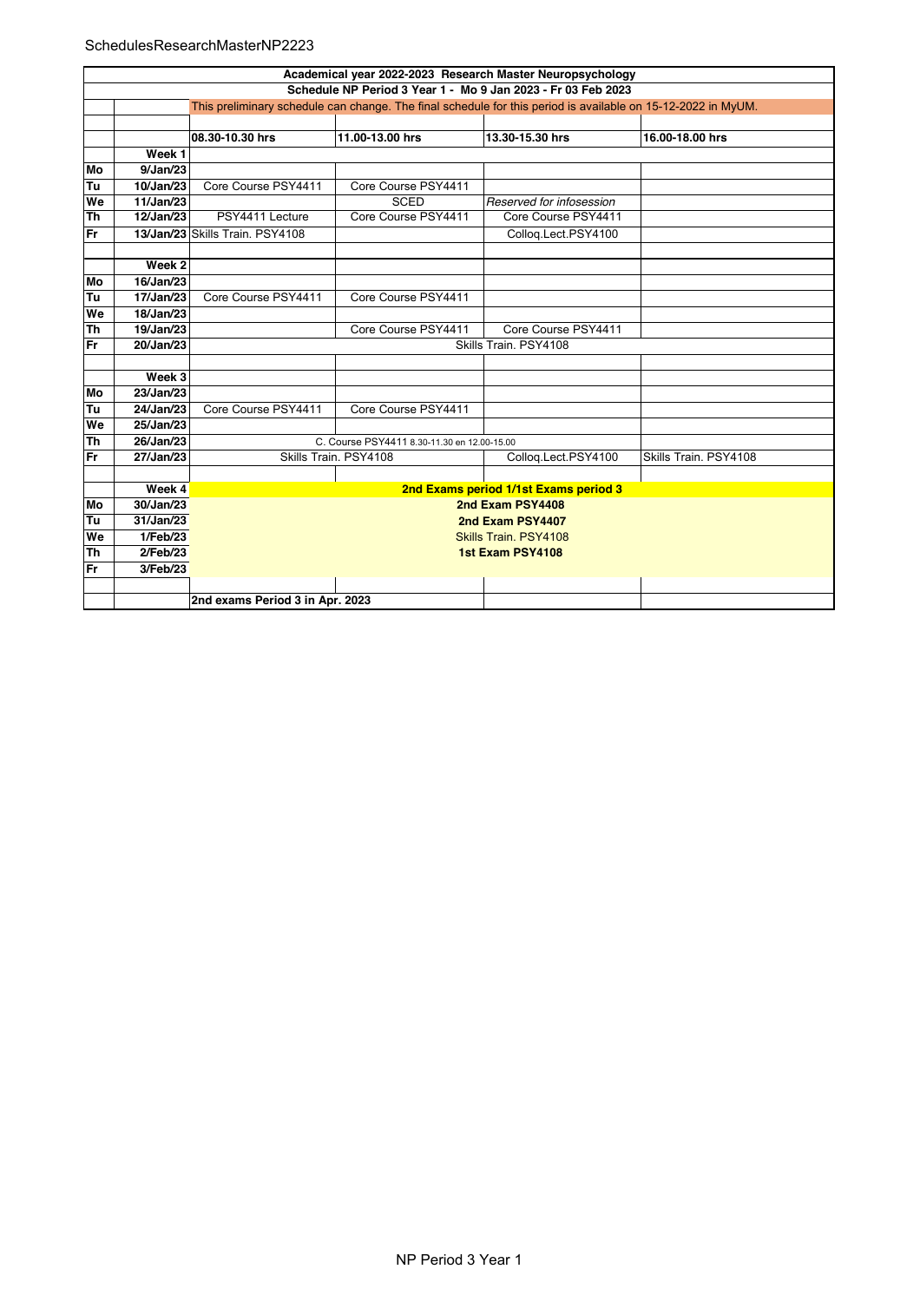## SchedulesResearchMasterNP2223

|           | Academical year 2022-2023 Research Master Neuropsychology                                                    |                                       |                                             |                          |                       |  |  |  |
|-----------|--------------------------------------------------------------------------------------------------------------|---------------------------------------|---------------------------------------------|--------------------------|-----------------------|--|--|--|
|           | Schedule NP Period 3 Year 1 - Mo 9 Jan 2023 - Fr 03 Feb 2023                                                 |                                       |                                             |                          |                       |  |  |  |
|           | This preliminary schedule can change. The final schedule for this period is available on 15-12-2022 in MyUM. |                                       |                                             |                          |                       |  |  |  |
|           |                                                                                                              |                                       |                                             |                          |                       |  |  |  |
|           |                                                                                                              | 08.30-10.30 hrs                       | 11.00-13.00 hrs                             | 13.30-15.30 hrs          | 16.00-18.00 hrs       |  |  |  |
|           | Week <sub>1</sub>                                                                                            |                                       |                                             |                          |                       |  |  |  |
| Mo        | 9/Jan/23                                                                                                     |                                       |                                             |                          |                       |  |  |  |
| Tu        | 10/Jan/23                                                                                                    | Core Course PSY4411                   | Core Course PSY4411                         |                          |                       |  |  |  |
| We        | 11/Jan/23                                                                                                    |                                       | <b>SCED</b>                                 | Reserved for infosession |                       |  |  |  |
| Th        | 12/Jan/23                                                                                                    | PSY4411 Lecture                       | Core Course PSY4411                         | Core Course PSY4411      |                       |  |  |  |
| <b>Fr</b> |                                                                                                              | 13/Jan/23 Skills Train, PSY4108       |                                             | Collog.Lect.PSY4100      |                       |  |  |  |
|           |                                                                                                              |                                       |                                             |                          |                       |  |  |  |
|           | Week 2                                                                                                       |                                       |                                             |                          |                       |  |  |  |
| Mo        | 16/Jan/23                                                                                                    |                                       |                                             |                          |                       |  |  |  |
| Tu        | 17/Jan/23                                                                                                    | Core Course PSY4411                   | Core Course PSY4411                         |                          |                       |  |  |  |
| We        | 18/Jan/23                                                                                                    |                                       |                                             |                          |                       |  |  |  |
| Th        | 19/Jan/23                                                                                                    |                                       | Core Course PSY4411                         | Core Course PSY4411      |                       |  |  |  |
| <b>Fr</b> | 20/Jan/23                                                                                                    | Skills Train. PSY4108                 |                                             |                          |                       |  |  |  |
|           |                                                                                                              |                                       |                                             |                          |                       |  |  |  |
|           | Week 3                                                                                                       |                                       |                                             |                          |                       |  |  |  |
| Mo        | 23/Jan/23                                                                                                    |                                       |                                             |                          |                       |  |  |  |
| Tu        | 24/Jan/23                                                                                                    | Core Course PSY4411                   | Core Course PSY4411                         |                          |                       |  |  |  |
| We        | 25/Jan/23                                                                                                    |                                       |                                             |                          |                       |  |  |  |
| Th        | 26/Jan/23                                                                                                    |                                       | C. Course PSY4411 8.30-11.30 en 12.00-15.00 |                          |                       |  |  |  |
| Fr        | 27/Jan/23                                                                                                    |                                       | Skills Train. PSY4108                       | Collog.Lect.PSY4100      | Skills Train. PSY4108 |  |  |  |
|           |                                                                                                              |                                       |                                             |                          |                       |  |  |  |
|           | Week 4                                                                                                       | 2nd Exams period 1/1st Exams period 3 |                                             |                          |                       |  |  |  |
| Mo        | 30/Jan/23                                                                                                    | 2nd Exam PSY4408                      |                                             |                          |                       |  |  |  |
| Tu        | 31/Jan/23                                                                                                    | 2nd Exam PSY4407                      |                                             |                          |                       |  |  |  |
| We        | 1/Feb/23                                                                                                     | Skills Train, PSY4108                 |                                             |                          |                       |  |  |  |
| Th        | 2/Feb/23                                                                                                     | 1st Exam PSY4108                      |                                             |                          |                       |  |  |  |
| <b>Fr</b> | 3/Feb/23                                                                                                     |                                       |                                             |                          |                       |  |  |  |
|           |                                                                                                              |                                       |                                             |                          |                       |  |  |  |
|           |                                                                                                              | 2nd exams Period 3 in Apr. 2023       |                                             |                          |                       |  |  |  |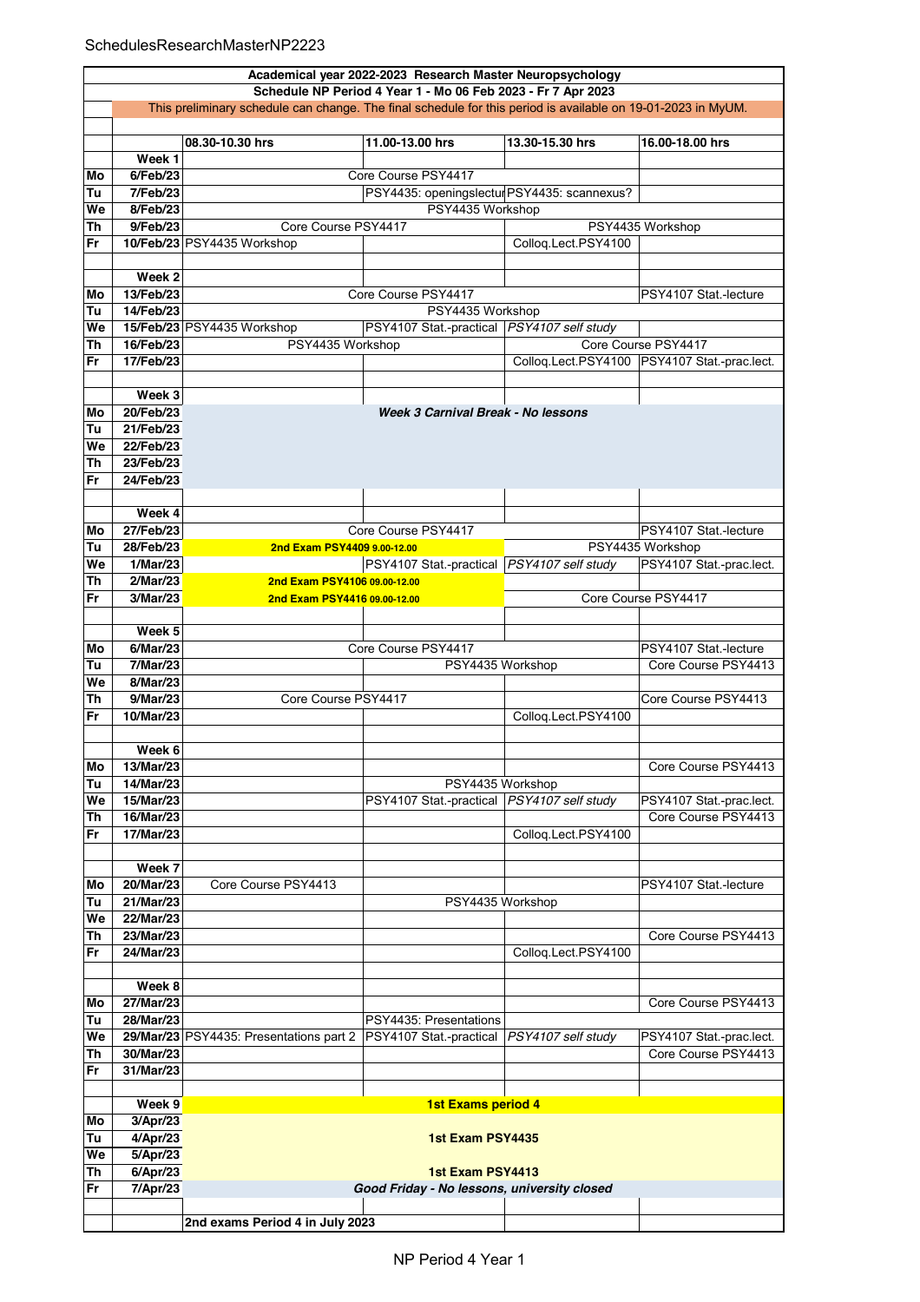|          | Academical year 2022-2023 Research Master Neuropsychology                                                    |                                         |                                              |                     |                                               |  |  |  |
|----------|--------------------------------------------------------------------------------------------------------------|-----------------------------------------|----------------------------------------------|---------------------|-----------------------------------------------|--|--|--|
|          | Schedule NP Period 4 Year 1 - Mo 06 Feb 2023 - Fr 7 Apr 2023                                                 |                                         |                                              |                     |                                               |  |  |  |
|          | This preliminary schedule can change. The final schedule for this period is available on 19-01-2023 in MyUM. |                                         |                                              |                     |                                               |  |  |  |
|          |                                                                                                              |                                         |                                              |                     |                                               |  |  |  |
|          |                                                                                                              | 08.30-10.30 hrs                         | 11.00-13.00 hrs                              | 13.30-15.30 hrs     | 16.00-18.00 hrs                               |  |  |  |
|          | Week 1                                                                                                       |                                         |                                              |                     |                                               |  |  |  |
| Mo       | 6/Feb/23                                                                                                     |                                         | Core Course PSY4417                          |                     |                                               |  |  |  |
| Tu       | 7/Feb/23                                                                                                     |                                         | PSY4435: openingslectul PSY4435: scannexus?  |                     |                                               |  |  |  |
| We       | 8/Feb/23                                                                                                     |                                         | PSY4435 Workshop                             |                     |                                               |  |  |  |
| Th       | 9/Feb/23                                                                                                     | Core Course PSY4417                     |                                              |                     | PSY4435 Workshop                              |  |  |  |
| Fr       |                                                                                                              | 10/Feb/23 PSY4435 Workshop              |                                              | Colloq.Lect.PSY4100 |                                               |  |  |  |
|          |                                                                                                              |                                         |                                              |                     |                                               |  |  |  |
|          | Week 2                                                                                                       |                                         |                                              |                     |                                               |  |  |  |
| Mo       | 13/Feb/23                                                                                                    |                                         | Core Course PSY4417                          |                     | PSY4107 Stat.-lecture                         |  |  |  |
| Tu       | 14/Feb/23                                                                                                    |                                         | PSY4435 Workshop                             |                     |                                               |  |  |  |
| We       |                                                                                                              | 15/Feb/23 PSY4435 Workshop              | PSY4107 Stat.-practical   PSY4107 self study |                     |                                               |  |  |  |
| Th       | 16/Feb/23                                                                                                    | PSY4435 Workshop                        |                                              |                     | Core Course PSY4417                           |  |  |  |
| Fr       | 17/Feb/23                                                                                                    |                                         |                                              |                     | Colloq.Lect.PSY4100  PSY4107 Stat.-prac.lect. |  |  |  |
|          |                                                                                                              |                                         |                                              |                     |                                               |  |  |  |
|          | Week 3                                                                                                       |                                         |                                              |                     |                                               |  |  |  |
| Mo       | 20/Feb/23                                                                                                    |                                         | Week 3 Carnival Break - No lessons           |                     |                                               |  |  |  |
| Tu<br>We | 21/Feb/23<br>22/Feb/23                                                                                       |                                         |                                              |                     |                                               |  |  |  |
| Th       | 23/Feb/23                                                                                                    |                                         |                                              |                     |                                               |  |  |  |
|          |                                                                                                              |                                         |                                              |                     |                                               |  |  |  |
| Fr       | 24/Feb/23                                                                                                    |                                         |                                              |                     |                                               |  |  |  |
|          | Week 4                                                                                                       |                                         |                                              |                     |                                               |  |  |  |
| Mo       | 27/Feb/23                                                                                                    |                                         | Core Course PSY4417                          |                     | PSY4107 Stat.-lecture                         |  |  |  |
| Tu       | 28/Feb/23                                                                                                    | 2nd Exam PSY4409 9.00-12.00             |                                              |                     | PSY4435 Workshop                              |  |  |  |
| We       | 1/Mar/23                                                                                                     |                                         | PSY4107 Stat.-practical   PSY4107 self study |                     | PSY4107 Stat.-prac.lect.                      |  |  |  |
| Th       | 2/Mar/23                                                                                                     | 2nd Exam PSY4106 09.00-12.00            |                                              |                     |                                               |  |  |  |
| Fr       | 3/Mar/23                                                                                                     | 2nd Exam PSY4416 09.00-12.00            |                                              |                     | Core Course PSY4417                           |  |  |  |
|          |                                                                                                              |                                         |                                              |                     |                                               |  |  |  |
|          | Week 5                                                                                                       |                                         |                                              |                     |                                               |  |  |  |
| Mo       | 6/Mar/23                                                                                                     |                                         | Core Course PSY4417                          |                     | PSY4107 Stat.-lecture                         |  |  |  |
| Tu       | 7/Mar/23                                                                                                     |                                         | PSY4435 Workshop                             |                     | Core Course PSY4413                           |  |  |  |
| We       | 8/Mar/23                                                                                                     |                                         |                                              |                     |                                               |  |  |  |
| Th       | 9/Mar/23                                                                                                     | Core Course PSY4417                     |                                              |                     | Core Course PSY4413                           |  |  |  |
| Fr       | 10/Mar/23                                                                                                    |                                         |                                              | Colloq.Lect.PSY4100 |                                               |  |  |  |
|          |                                                                                                              |                                         |                                              |                     |                                               |  |  |  |
|          | Week 6                                                                                                       |                                         |                                              |                     |                                               |  |  |  |
| Mo       | 13/Mar/23                                                                                                    |                                         |                                              |                     | Core Course PSY4413                           |  |  |  |
| Tu       | 14/Mar/23                                                                                                    |                                         | PSY4435 Workshop                             |                     |                                               |  |  |  |
| We       | 15/Mar/23                                                                                                    |                                         | PSY4107 Stat.-practical   PSY4107 self study |                     | PSY4107 Stat.-prac.lect.                      |  |  |  |
| Th       | 16/Mar/23                                                                                                    |                                         |                                              |                     | Core Course PSY4413                           |  |  |  |
| Fr       | 17/Mar/23                                                                                                    |                                         |                                              | Colloq.Lect.PSY4100 |                                               |  |  |  |
|          |                                                                                                              |                                         |                                              |                     |                                               |  |  |  |
|          | Week 7                                                                                                       |                                         |                                              |                     |                                               |  |  |  |
| Mo       | 20/Mar/23                                                                                                    | Core Course PSY4413                     |                                              |                     | PSY4107 Stat.-lecture                         |  |  |  |
| Tu       | 21/Mar/23                                                                                                    |                                         | PSY4435 Workshop                             |                     |                                               |  |  |  |
| We       | 22/Mar/23                                                                                                    |                                         |                                              |                     |                                               |  |  |  |
| Th       | 23/Mar/23                                                                                                    |                                         |                                              |                     | Core Course PSY4413                           |  |  |  |
| Fr       | 24/Mar/23                                                                                                    |                                         |                                              | Colloq.Lect.PSY4100 |                                               |  |  |  |
|          |                                                                                                              |                                         |                                              |                     |                                               |  |  |  |
|          | Week 8                                                                                                       |                                         |                                              |                     |                                               |  |  |  |
| Mo       | 27/Mar/23                                                                                                    |                                         |                                              |                     | Core Course PSY4413                           |  |  |  |
| Tu       | 28/Mar/23                                                                                                    |                                         | PSY4435: Presentations                       |                     |                                               |  |  |  |
| We       |                                                                                                              | 29/Mar/23 PSY4435: Presentations part 2 | PSY4107 Stat.-practical   PSY4107 self study |                     | PSY4107 Stat.-prac.lect.                      |  |  |  |
| Th       | 30/Mar/23                                                                                                    |                                         |                                              |                     | Core Course PSY4413                           |  |  |  |
| Fr       | 31/Mar/23                                                                                                    |                                         |                                              |                     |                                               |  |  |  |
|          |                                                                                                              |                                         |                                              |                     |                                               |  |  |  |
|          | Week 9                                                                                                       |                                         | <b>1st Exams period 4</b>                    |                     |                                               |  |  |  |
| Mo       | 3/Apr/23                                                                                                     |                                         |                                              |                     |                                               |  |  |  |
| Tu<br>We | 4/Apr/23                                                                                                     |                                         | 1st Exam PSY4435                             |                     |                                               |  |  |  |
| Th       | 5/Apr/23<br>6/Apr/23                                                                                         |                                         | 1st Exam PSY4413                             |                     |                                               |  |  |  |
| Fr       | 7/Apr/23                                                                                                     |                                         | Good Friday - No lessons, university closed  |                     |                                               |  |  |  |
|          |                                                                                                              |                                         |                                              |                     |                                               |  |  |  |
|          |                                                                                                              | 2nd exams Period 4 in July 2023         |                                              |                     |                                               |  |  |  |
|          |                                                                                                              |                                         |                                              |                     |                                               |  |  |  |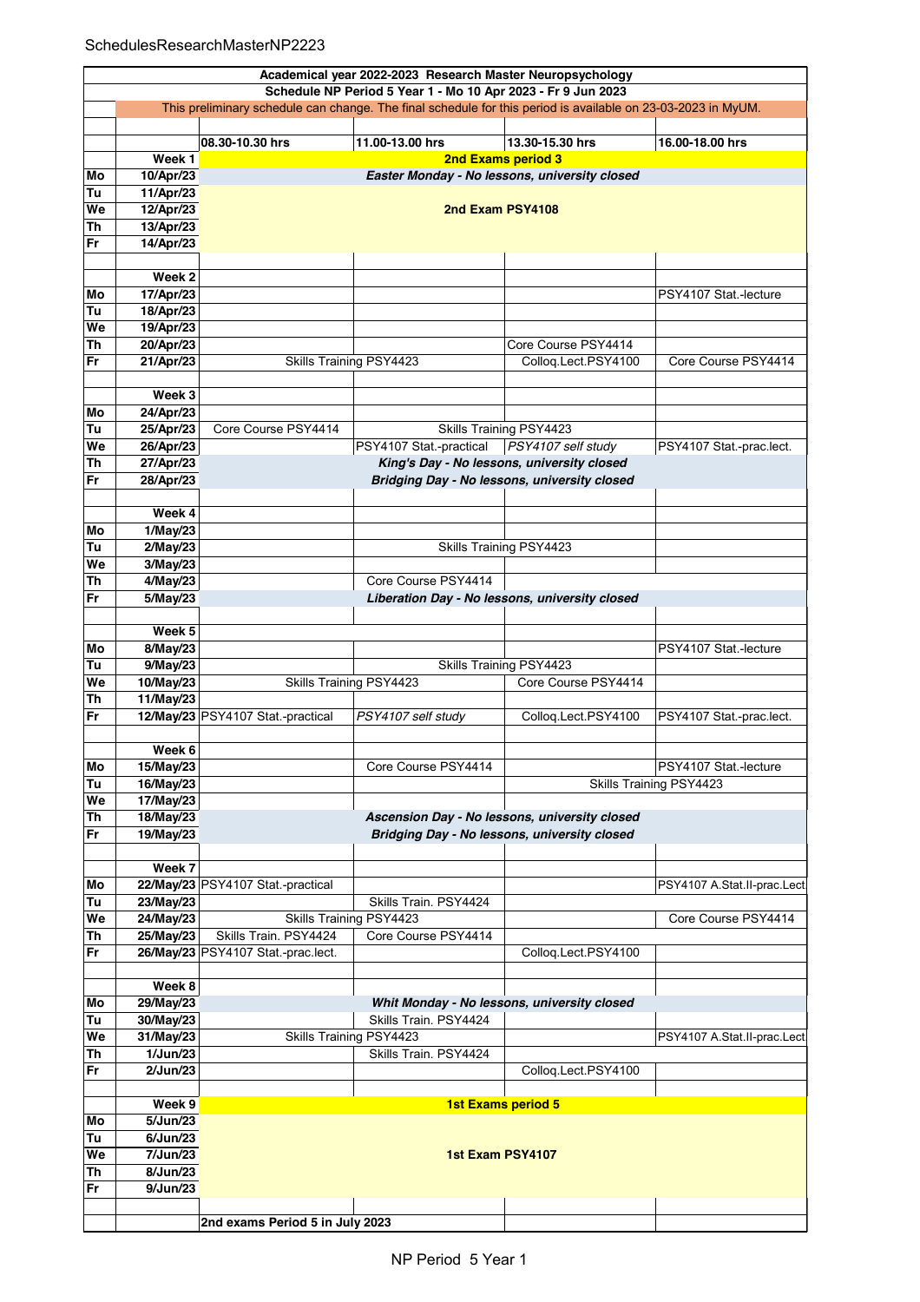|           |                                                              |                                                                                                              | Academical year 2022-2023 Research Master Neuropsychology |                                             |                             |  |  |  |
|-----------|--------------------------------------------------------------|--------------------------------------------------------------------------------------------------------------|-----------------------------------------------------------|---------------------------------------------|-----------------------------|--|--|--|
|           | Schedule NP Period 5 Year 1 - Mo 10 Apr 2023 - Fr 9 Jun 2023 |                                                                                                              |                                                           |                                             |                             |  |  |  |
|           |                                                              | This preliminary schedule can change. The final schedule for this period is available on 23-03-2023 in MyUM. |                                                           |                                             |                             |  |  |  |
|           |                                                              |                                                                                                              |                                                           |                                             |                             |  |  |  |
|           |                                                              | 08.30-10.30 hrs                                                                                              | 11.00-13.00 hrs                                           | 13.30-15.30 hrs                             | 16.00-18.00 hrs             |  |  |  |
|           | Week 1                                                       |                                                                                                              | 2nd Exams period 3                                        |                                             |                             |  |  |  |
| Mo        | 10/Apr/23                                                    |                                                                                                              | Easter Monday - No lessons, university closed             |                                             |                             |  |  |  |
| Tu        | 11/Apr/23                                                    |                                                                                                              |                                                           |                                             |                             |  |  |  |
| We        | 12/Apr/23                                                    | 2nd Exam PSY4108                                                                                             |                                                           |                                             |                             |  |  |  |
| Th        | 13/Apr/23                                                    |                                                                                                              |                                                           |                                             |                             |  |  |  |
| Fr        | 14/Apr/23                                                    |                                                                                                              |                                                           |                                             |                             |  |  |  |
|           |                                                              |                                                                                                              |                                                           |                                             |                             |  |  |  |
|           | Week <sub>2</sub>                                            |                                                                                                              |                                                           |                                             |                             |  |  |  |
| Mo        | 17/Apr/23                                                    |                                                                                                              |                                                           |                                             | PSY4107 Stat.-lecture       |  |  |  |
| Tu        | 18/Apr/23                                                    |                                                                                                              |                                                           |                                             |                             |  |  |  |
| We        | 19/Apr/23                                                    |                                                                                                              |                                                           |                                             |                             |  |  |  |
| Th        | 20/Apr/23                                                    |                                                                                                              |                                                           | Core Course PSY4414                         |                             |  |  |  |
| <b>Fr</b> | 21/Apr/23                                                    |                                                                                                              | Skills Training PSY4423                                   | Colloq.Lect.PSY4100                         | Core Course PSY4414         |  |  |  |
|           |                                                              |                                                                                                              |                                                           |                                             |                             |  |  |  |
|           | Week 3                                                       |                                                                                                              |                                                           |                                             |                             |  |  |  |
| Mo        | 24/Apr/23                                                    |                                                                                                              |                                                           |                                             |                             |  |  |  |
| Tu        | 25/Apr/23                                                    | Core Course PSY4414                                                                                          |                                                           | Skills Training PSY4423                     |                             |  |  |  |
| We        | 26/Apr/23                                                    |                                                                                                              | PSY4107 Stat.-practical                                   | PSY4107 self study                          | PSY4107 Stat -prac.lect.    |  |  |  |
| Th        | 27/Apr/23                                                    |                                                                                                              | King's Day - No lessons, university closed                |                                             |                             |  |  |  |
| <b>Fr</b> | 28/Apr/23                                                    |                                                                                                              | Bridging Day - No lessons, university closed              |                                             |                             |  |  |  |
|           |                                                              |                                                                                                              |                                                           |                                             |                             |  |  |  |
|           | Week 4                                                       |                                                                                                              |                                                           |                                             |                             |  |  |  |
| Mo        | 1/May/23                                                     |                                                                                                              |                                                           |                                             |                             |  |  |  |
| Tu        | 2/May/23                                                     |                                                                                                              |                                                           | Skills Training PSY4423                     |                             |  |  |  |
| We        | 3/May/23                                                     |                                                                                                              |                                                           |                                             |                             |  |  |  |
| Th        | 4/May/23                                                     |                                                                                                              | Core Course PSY4414                                       |                                             |                             |  |  |  |
| Fr        |                                                              |                                                                                                              |                                                           |                                             |                             |  |  |  |
|           | 5/May/23                                                     |                                                                                                              | Liberation Day - No lessons, university closed            |                                             |                             |  |  |  |
|           |                                                              |                                                                                                              |                                                           |                                             |                             |  |  |  |
|           | Week 5                                                       |                                                                                                              |                                                           |                                             |                             |  |  |  |
| Mo        | 8/May/23                                                     |                                                                                                              |                                                           |                                             | PSY4107 Stat.-lecture       |  |  |  |
| Tu        | $\overline{9}$ /May/23                                       |                                                                                                              |                                                           | Skills Training PSY4423                     |                             |  |  |  |
| We        | 10/May/23                                                    |                                                                                                              | Skills Training PSY4423                                   | Core Course PSY4414                         |                             |  |  |  |
| Th        | 11/May/23                                                    |                                                                                                              |                                                           |                                             |                             |  |  |  |
| Fr        |                                                              | 12/May/23 PSY4107 Stat.-practical                                                                            | PSY4107 self study                                        | Collog.Lect.PSY4100                         | PSY4107 Stat.-prac.lect.    |  |  |  |
|           | Week 6                                                       |                                                                                                              |                                                           |                                             |                             |  |  |  |
| Mo        | 15/May/23                                                    |                                                                                                              | Core Course PSY4414                                       |                                             | PSY4107 Stat.-lecture       |  |  |  |
|           |                                                              |                                                                                                              |                                                           |                                             | Skills Training PSY4423     |  |  |  |
| Tu        | 16/May/23                                                    |                                                                                                              |                                                           |                                             |                             |  |  |  |
| We        | 17/May/23                                                    |                                                                                                              |                                                           |                                             |                             |  |  |  |
| Th<br>Fr  | 18/May/23                                                    | Ascension Day - No lessons, university closed<br>Bridging Day - No lessons, university closed                |                                                           |                                             |                             |  |  |  |
|           | 19/May/23                                                    |                                                                                                              |                                                           |                                             |                             |  |  |  |
|           | Week 7                                                       |                                                                                                              |                                                           |                                             |                             |  |  |  |
| Mo        |                                                              | 22/May/23 PSY4107 Stat.-practical                                                                            |                                                           |                                             |                             |  |  |  |
| Tu        | 23/May/23                                                    |                                                                                                              | Skills Train. PSY4424                                     |                                             | PSY4107 A.Stat.II-prac.Lect |  |  |  |
|           |                                                              |                                                                                                              | Skills Training PSY4423                                   |                                             |                             |  |  |  |
| We        | 24/May/23                                                    | Skills Train. PSY4424                                                                                        | Core Course PSY4414                                       |                                             | Core Course PSY4414         |  |  |  |
| Th<br>Fr  | 25/May/23                                                    |                                                                                                              |                                                           |                                             |                             |  |  |  |
|           |                                                              | 26/May/23 PSY4107 Stat.-prac.lect.                                                                           |                                                           | Colloq.Lect.PSY4100                         |                             |  |  |  |
|           |                                                              |                                                                                                              |                                                           |                                             |                             |  |  |  |
|           | Week 8                                                       |                                                                                                              |                                                           |                                             |                             |  |  |  |
| Mo        | 29/May/23                                                    |                                                                                                              |                                                           | Whit Monday - No lessons, university closed |                             |  |  |  |
| Tu        | 30/May/23                                                    |                                                                                                              | Skills Train. PSY4424                                     |                                             |                             |  |  |  |
| We        | 31/May/23                                                    |                                                                                                              | Skills Training PSY4423                                   |                                             | PSY4107 A.Stat.II-prac.Lect |  |  |  |
| Th        | 1/Jun/23                                                     |                                                                                                              | Skills Train. PSY4424                                     |                                             |                             |  |  |  |
| Fr        | 2/Jun/23                                                     |                                                                                                              |                                                           | Collog.Lect.PSY4100                         |                             |  |  |  |
|           |                                                              |                                                                                                              |                                                           |                                             |                             |  |  |  |
|           | Week 9                                                       |                                                                                                              | <b>1st Exams period 5</b>                                 |                                             |                             |  |  |  |
| Mo        | 5/Jun/23                                                     |                                                                                                              |                                                           |                                             |                             |  |  |  |
| Tu        | 6/Jun/23                                                     |                                                                                                              |                                                           |                                             |                             |  |  |  |
| We        | 7/Jun/23                                                     |                                                                                                              | 1st Exam PSY4107                                          |                                             |                             |  |  |  |
| Th        | 8/Jun/23                                                     |                                                                                                              |                                                           |                                             |                             |  |  |  |
| Fr        | 9/Jun/23                                                     |                                                                                                              |                                                           |                                             |                             |  |  |  |
|           |                                                              |                                                                                                              |                                                           |                                             |                             |  |  |  |
|           |                                                              | 2nd exams Period 5 in July 2023                                                                              |                                                           |                                             |                             |  |  |  |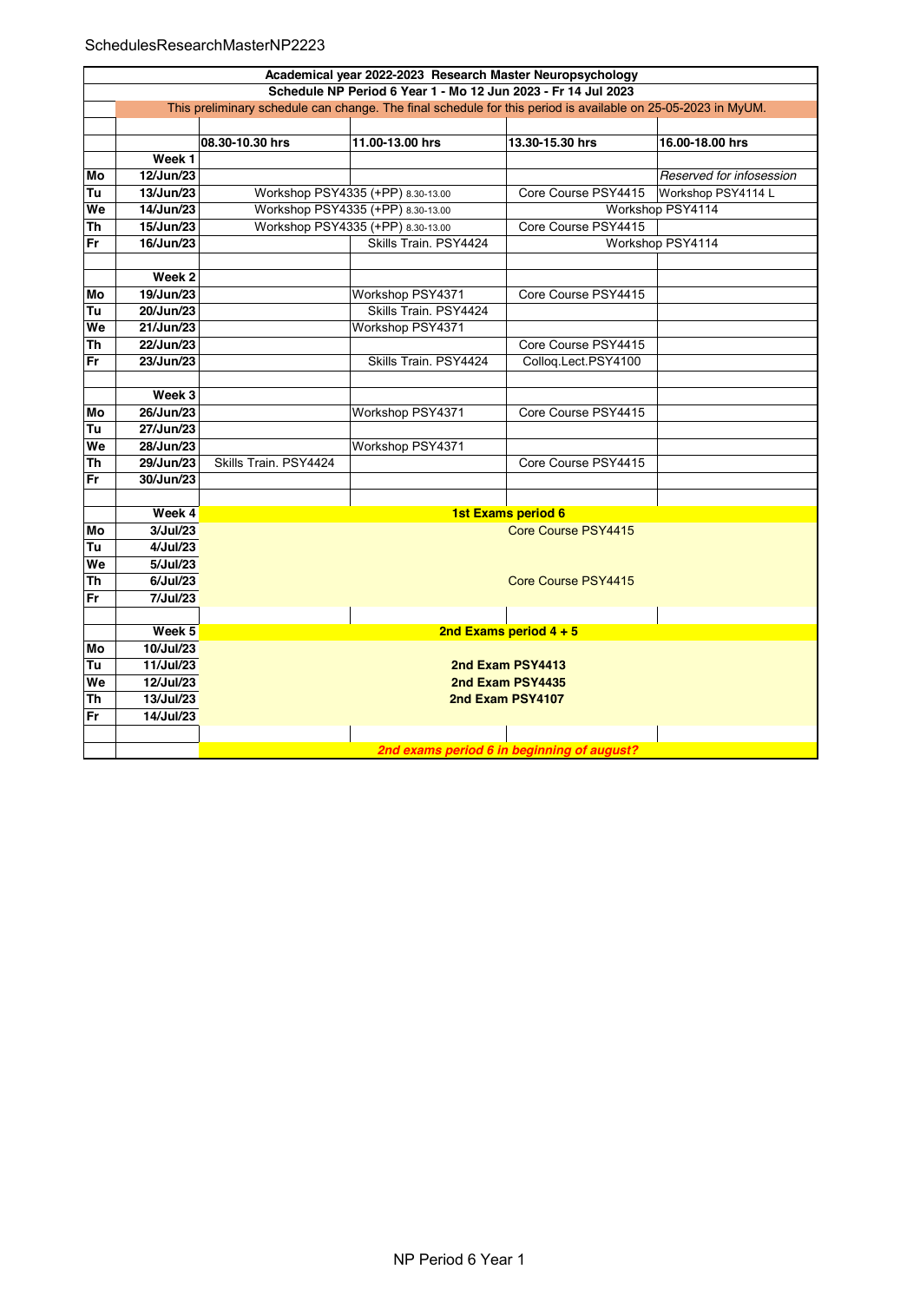## SchedulesResearchMasterNP2223

|           | Academical year 2022-2023 Research Master Neuropsychology                                                    |                       |                                   |                          |                          |  |  |  |  |
|-----------|--------------------------------------------------------------------------------------------------------------|-----------------------|-----------------------------------|--------------------------|--------------------------|--|--|--|--|
|           | Schedule NP Period 6 Year 1 - Mo 12 Jun 2023 - Fr 14 Jul 2023                                                |                       |                                   |                          |                          |  |  |  |  |
|           | This preliminary schedule can change. The final schedule for this period is available on 25-05-2023 in MyUM. |                       |                                   |                          |                          |  |  |  |  |
|           |                                                                                                              |                       |                                   |                          |                          |  |  |  |  |
|           |                                                                                                              | 08.30-10.30 hrs       | 11.00-13.00 hrs                   | 13.30-15.30 hrs          | 16.00-18.00 hrs          |  |  |  |  |
|           | $\overline{\text{Week}}$ 1                                                                                   |                       |                                   |                          |                          |  |  |  |  |
| Mo        | 12/Jun/23                                                                                                    |                       |                                   |                          | Reserved for infosession |  |  |  |  |
| Tu        | 13/Jun/23                                                                                                    |                       | Workshop PSY4335 (+PP) 8.30-13.00 | Core Course PSY4415      | Workshop PSY4114 L       |  |  |  |  |
| We        | 14/Jun/23                                                                                                    |                       | Workshop PSY4335 (+PP) 8.30-13.00 |                          | Workshop PSY4114         |  |  |  |  |
| <b>Th</b> | 15/Jun/23                                                                                                    |                       | Workshop PSY4335 (+PP) 8.30-13.00 | Core Course PSY4415      |                          |  |  |  |  |
| <b>Fr</b> | 16/Jun/23                                                                                                    |                       | Skills Train. PSY4424             |                          | Workshop PSY4114         |  |  |  |  |
|           |                                                                                                              |                       |                                   |                          |                          |  |  |  |  |
|           | Week 2                                                                                                       |                       |                                   |                          |                          |  |  |  |  |
| Mo        | 19/Jun/23                                                                                                    |                       | Workshop PSY4371                  | Core Course PSY4415      |                          |  |  |  |  |
| Tu        | 20/Jun/23                                                                                                    |                       | Skills Train. PSY4424             |                          |                          |  |  |  |  |
| We        | 21/Jun/23                                                                                                    |                       | Workshop PSY4371                  |                          |                          |  |  |  |  |
| <b>Th</b> | 22/Jun/23                                                                                                    |                       |                                   | Core Course PSY4415      |                          |  |  |  |  |
| Fr        | 23/Jun/23                                                                                                    |                       | Skills Train. PSY4424             | Colloq.Lect.PSY4100      |                          |  |  |  |  |
|           |                                                                                                              |                       |                                   |                          |                          |  |  |  |  |
|           | Week 3                                                                                                       |                       |                                   |                          |                          |  |  |  |  |
| Mo        | 26/Jun/23                                                                                                    |                       | Workshop PSY4371                  | Core Course PSY4415      |                          |  |  |  |  |
| Tu        | 27/Jun/23                                                                                                    |                       |                                   |                          |                          |  |  |  |  |
| We        | 28/Jun/23                                                                                                    |                       | Workshop PSY4371                  |                          |                          |  |  |  |  |
| Th        | 29/Jun/23                                                                                                    | Skills Train. PSY4424 |                                   | Core Course PSY4415      |                          |  |  |  |  |
| Fr        | 30/Jun/23                                                                                                    |                       |                                   |                          |                          |  |  |  |  |
|           |                                                                                                              |                       |                                   |                          |                          |  |  |  |  |
|           | Week 4                                                                                                       |                       |                                   | 1st Exams period 6       |                          |  |  |  |  |
| Mo        | 3/Jul/23                                                                                                     |                       |                                   | Core Course PSY4415      |                          |  |  |  |  |
| Tu        | 4/Jul/23                                                                                                     |                       |                                   |                          |                          |  |  |  |  |
| We        | 5/Jul/23                                                                                                     |                       |                                   |                          |                          |  |  |  |  |
| Th        | 6/Jul/23                                                                                                     |                       |                                   | Core Course PSY4415      |                          |  |  |  |  |
| <b>Fr</b> | 7/Jul/23                                                                                                     |                       |                                   |                          |                          |  |  |  |  |
|           |                                                                                                              |                       |                                   |                          |                          |  |  |  |  |
|           | Week 5                                                                                                       |                       |                                   | 2nd Exams period $4 + 5$ |                          |  |  |  |  |
| Mo        | 10/Jul/23                                                                                                    |                       |                                   |                          |                          |  |  |  |  |
| Tu        | 11/Jul/23                                                                                                    |                       |                                   | 2nd Exam PSY4413         |                          |  |  |  |  |
| We        | 12/Jul/23                                                                                                    |                       |                                   | 2nd Exam PSY4435         |                          |  |  |  |  |
| Th        | 13/Jul/23                                                                                                    |                       |                                   | 2nd Exam PSY4107         |                          |  |  |  |  |
| Fr        | 14/Jul/23                                                                                                    |                       |                                   |                          |                          |  |  |  |  |
|           |                                                                                                              |                       |                                   |                          |                          |  |  |  |  |
|           | 2nd exams period 6 in beginning of august?                                                                   |                       |                                   |                          |                          |  |  |  |  |